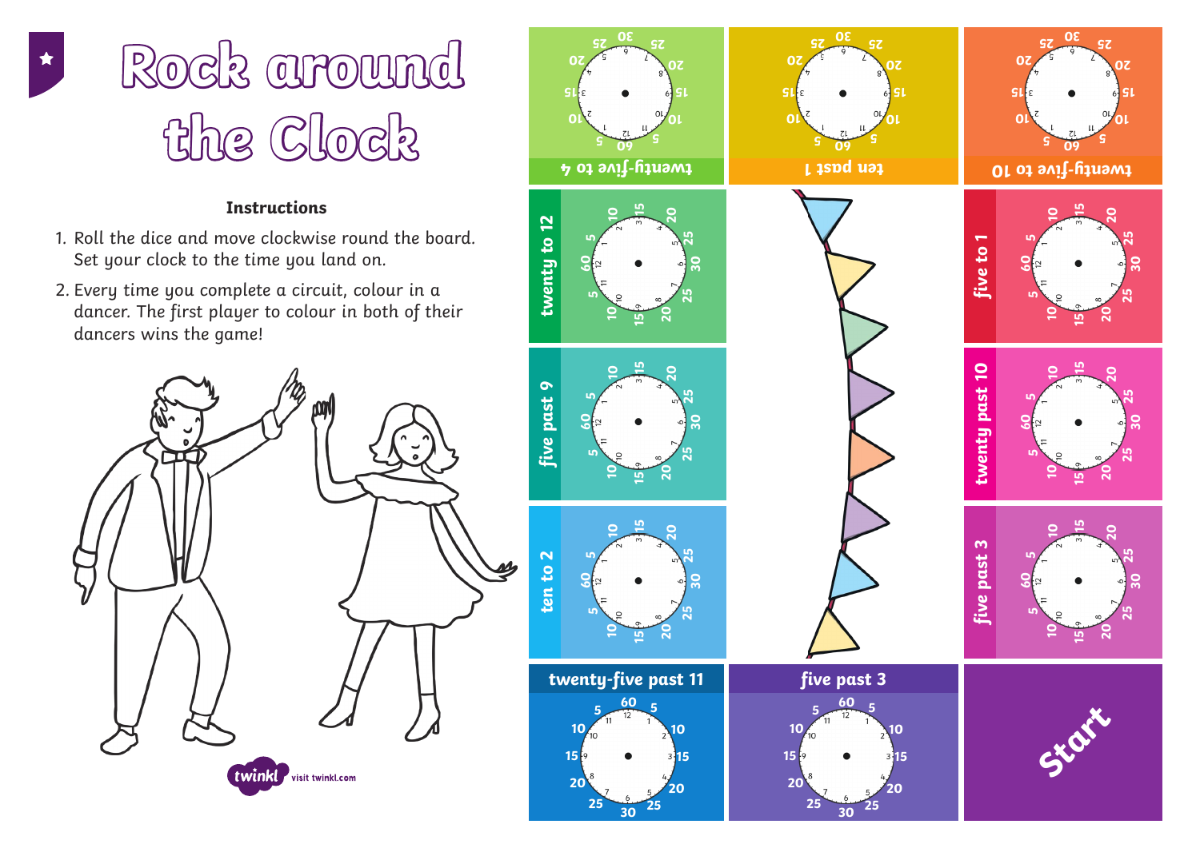## **Instructions**

- 1. Roll the dice and move clockwise round the board. Set your clock to the time you land on.
- 2. Every time you complete a circuit, colour in a dancer. The first player to colour in both of their dancers wins the game!







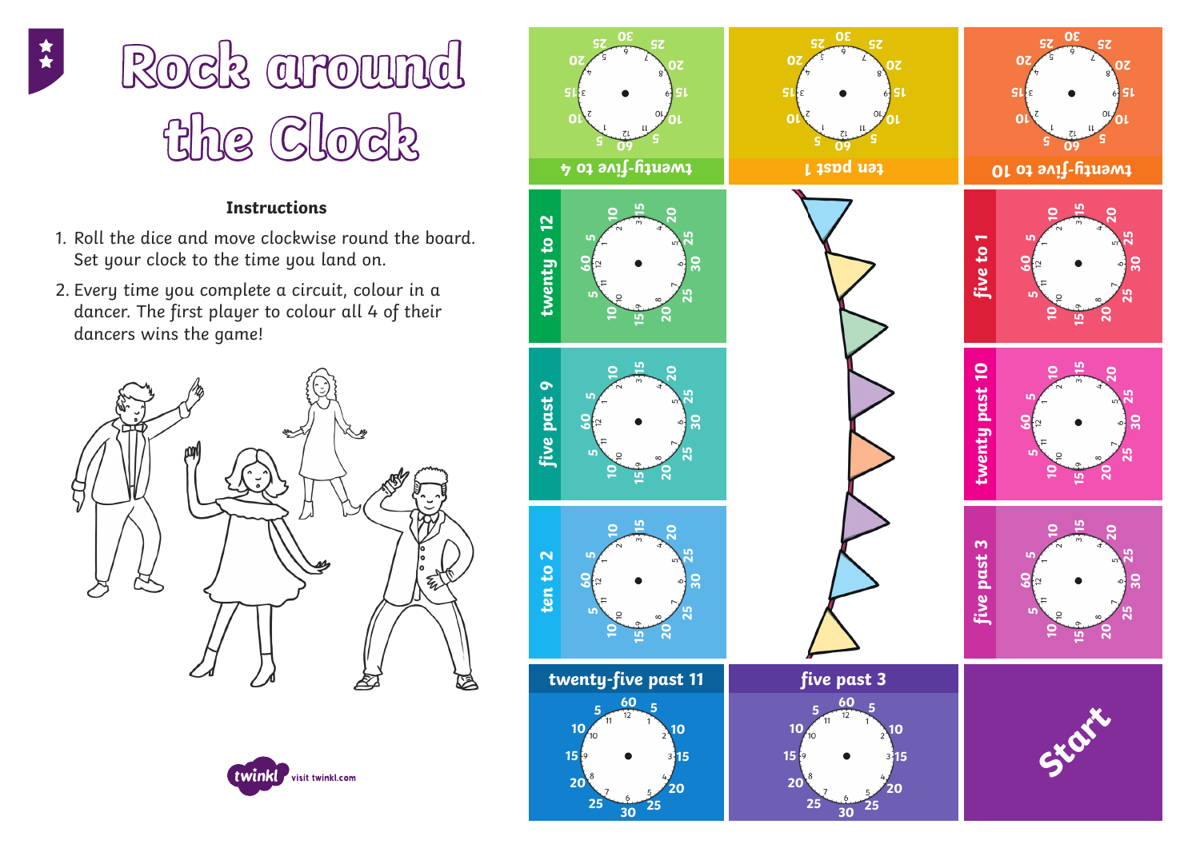## **Instructions**

- 1. Roll the dice and move clockwise round the board. Set your clock to the time you land on.
- 2. Every time you complete a circuit, colour in a dancer. The first player to colour all 4 of their dancers wins the game!